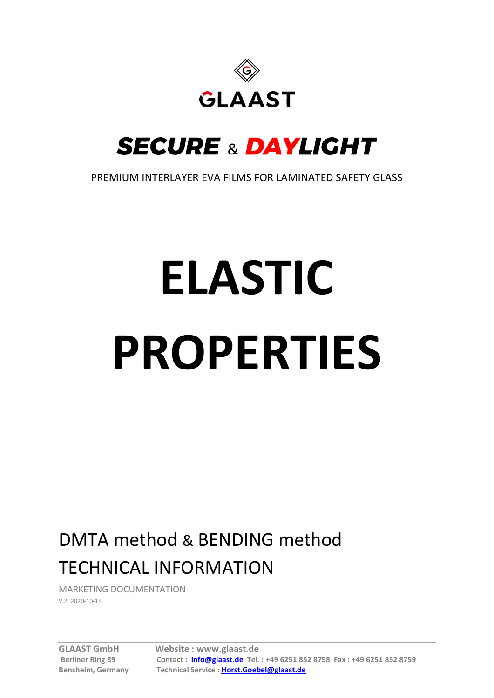

# **SECURE & DAYLIGHT**

PREMIUM INTERLAYER EVA FILMS FOR LAMINATED SAFETY GLASS

# **ELASTIC PROPERTIES**

## DMTA method & BENDING method TECHNICAL INFORMATION

MARKETING DOCUMENTATION V.2\_2020-10-15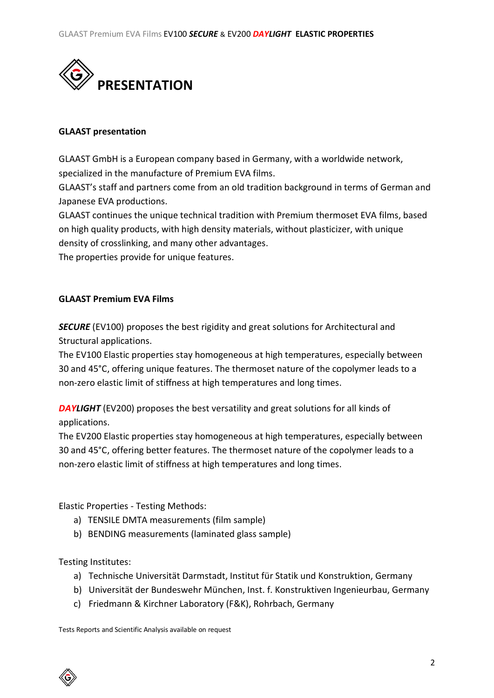

#### **GLAAST presentation**

GLAAST GmbH is a European company based in Germany, with a worldwide network, specialized in the manufacture of Premium EVA films.

GLAAST's staff and partners come from an old tradition background in terms of German and Japanese EVA productions.

GLAAST continues the unique technical tradition with Premium thermoset EVA films, based on high quality products, with high density materials, without plasticizer, with unique density of crosslinking, and many other advantages.

The properties provide for unique features.

## **GLAAST Premium EVA Films**

**SECURE** (EV100) proposes the best rigidity and great solutions for Architectural and Structural applications.

The EV100 Elastic properties stay homogeneous at high temperatures, especially between 30 and 45°C, offering unique features. The thermoset nature of the copolymer leads to a non-zero elastic limit of stiffness at high temperatures and long times.

**DAYLIGHT** (EV200) proposes the best versatility and great solutions for all kinds of applications.

The EV200 Elastic properties stay homogeneous at high temperatures, especially between 30 and 45°C, offering better features. The thermoset nature of the copolymer leads to a non-zero elastic limit of stiffness at high temperatures and long times.

Elastic Properties - Testing Methods:

- a) TENSILE DMTA measurements (film sample)
- b) BENDING measurements (laminated glass sample)

Testing Institutes:

- a) Technische Universität Darmstadt, Institut für Statik und Konstruktion, Germany
- b) Universität der Bundeswehr München, Inst. f. Konstruktiven Ingenieurbau, Germany
- c) Friedmann & Kirchner Laboratory (F&K), Rohrbach, Germany

Tests Reports and Scientific Analysis available on request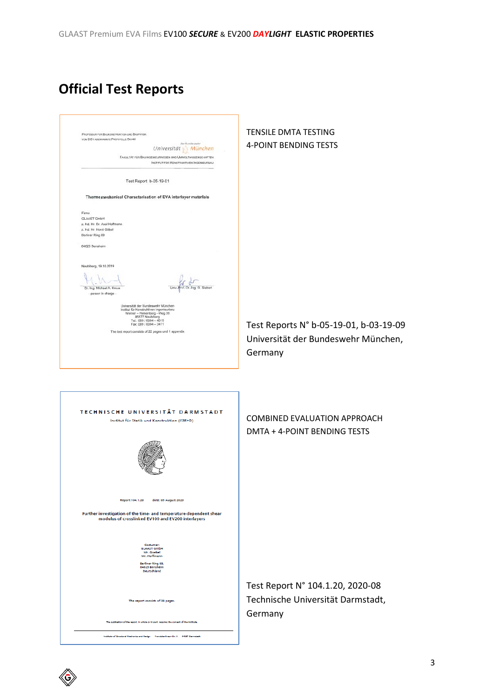## **Official Test Reports**

| PROFESSUR FOR BAUKONSTRUKTION UND BAUPHYSIK<br>VOM DIBT ANERKANNTE PRÜFSTELLE BAY40<br>München<br>Universität<br>FAKULTÄT FÜR BAUINGENIEURWESEN UND UMWELTWISSENSCHAFTEN<br>INSTITUT FÜR KONSTRUKTIVEN INGENIEURBAU                          | <b>TENSILE DMTA TESTING</b><br><b>4-POINT BENDING TESTS</b>                              |
|----------------------------------------------------------------------------------------------------------------------------------------------------------------------------------------------------------------------------------------------|------------------------------------------------------------------------------------------|
| Test Report b-05-19-01                                                                                                                                                                                                                       |                                                                                          |
| Thermomechanical Characterisation of EVA interlayer materials                                                                                                                                                                                |                                                                                          |
| Firma<br>GLAAST GmbH<br>z. Hd. Hr. Dr. Axel Hoffmann<br>z. Hd. Hr. Horst Göbel<br>Berliner Ring 89<br>64625 Bensheim                                                                                                                         |                                                                                          |
|                                                                                                                                                                                                                                              |                                                                                          |
| Neubiberg, 19.10.2019<br>Dr.-Ing. Michael A. Kraus<br>Dr.-Ing. G. Siebert<br>- person in charge -                                                                                                                                            |                                                                                          |
| Universität der Bundeswehr München<br>Institut für Konstruktiven Ingenieurbau<br>Werner - Heisenberg - Weg 39<br>85577 Neubiberg<br>Tel.: 089 / 6004 - 4019<br>Fax: 089 / 6004 - 3471<br>The test report consists of 22 pages und 1 appendix | Test Reports N° b-05-19-01, b-03-19-09<br>Universität der Bundeswehr München,<br>Germany |
| TECHNISCHE UNIVERSITÄT DARMSTADT<br>Institut für Statik und Konstruktion (ISM+D)                                                                                                                                                             | <b>COMBINED EVALUATION APPROACH</b><br>DMTA + 4-POINT BENDING TESTS                      |
| Report 104.1.20<br>date: 05 August 2020                                                                                                                                                                                                      |                                                                                          |
| Further investigation of the time- and temperature-dependent shear<br>modulus of crosslinked EV100 and EV200 interlayers                                                                                                                     |                                                                                          |
| Costumer:<br><b>GLAAST GmbH</b><br>Mr. Goebel<br>Mr. Hoffmann<br>Berliner Ring 89,<br>64625 Bensheim<br>Deutschland                                                                                                                          |                                                                                          |
| The report consists of 38 pages.                                                                                                                                                                                                             | Test Report N° 104.1.20, 2020-08<br>Technische Universität Darmstadt,                    |
| The publication of the report. In whole or in part, requires the consent of the institute.                                                                                                                                                   | Germany                                                                                  |
| Institute of Structural Mechanics and Design Franciska-Graun-Str. 3 64287 Dermstadt                                                                                                                                                          |                                                                                          |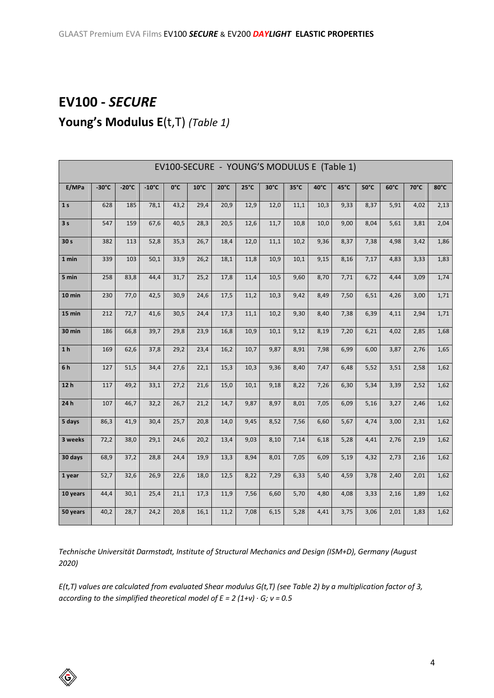## **EV100 -** *SECURE* **Young's Modulus E**(t,T) *(Table 1)*

| EV100-SECURE - YOUNG'S MODULUS E (Table 1) |                 |                 |                 |      |                |                |               |      |                |      |      |      |      |      |      |
|--------------------------------------------|-----------------|-----------------|-----------------|------|----------------|----------------|---------------|------|----------------|------|------|------|------|------|------|
| E/MPa                                      | $-30^{\circ}$ C | $-20^{\circ}$ C | $-10^{\circ}$ C | 0°C  | $10^{\circ}$ C | $20^{\circ}$ C | $25^{\circ}C$ | 30°C | $35^{\circ}$ C | 40°C | 45°C | 50°C | 60°C | 70°C | 80°C |
| 1 <sub>s</sub>                             | 628             | 185             | 78,1            | 43,2 | 29,4           | 20,9           | 12,9          | 12,0 | 11,1           | 10,3 | 9,33 | 8,37 | 5,91 | 4,02 | 2,13 |
| 3 <sub>s</sub>                             | 547             | 159             | 67,6            | 40,5 | 28,3           | 20,5           | 12,6          | 11,7 | 10,8           | 10,0 | 9,00 | 8,04 | 5,61 | 3,81 | 2,04 |
| 30 <sub>s</sub>                            | 382             | 113             | 52,8            | 35,3 | 26,7           | 18,4           | 12,0          | 11,1 | 10,2           | 9,36 | 8,37 | 7,38 | 4,98 | 3,42 | 1,86 |
| 1 min                                      | 339             | 103             | 50,1            | 33,9 | 26,2           | 18,1           | 11,8          | 10,9 | 10,1           | 9,15 | 8,16 | 7,17 | 4,83 | 3,33 | 1,83 |
| 5 min                                      | 258             | 83,8            | 44,4            | 31,7 | 25,2           | 17,8           | 11,4          | 10,5 | 9,60           | 8,70 | 7,71 | 6,72 | 4,44 | 3,09 | 1,74 |
| 10 min                                     | 230             | 77,0            | 42,5            | 30,9 | 24,6           | 17,5           | 11,2          | 10,3 | 9,42           | 8,49 | 7,50 | 6,51 | 4,26 | 3,00 | 1,71 |
| 15 min                                     | 212             | 72,7            | 41,6            | 30,5 | 24,4           | 17,3           | 11,1          | 10,2 | 9,30           | 8,40 | 7,38 | 6,39 | 4,11 | 2,94 | 1,71 |
| 30 min                                     | 186             | 66,8            | 39,7            | 29,8 | 23,9           | 16,8           | 10,9          | 10,1 | 9,12           | 8,19 | 7,20 | 6,21 | 4,02 | 2,85 | 1,68 |
| 1 <sub>h</sub>                             | 169             | 62,6            | 37,8            | 29,2 | 23,4           | 16,2           | 10,7          | 9,87 | 8,91           | 7,98 | 6,99 | 6,00 | 3,87 | 2,76 | 1,65 |
| 6h                                         | 127             | 51,5            | 34,4            | 27,6 | 22,1           | 15,3           | 10,3          | 9,36 | 8,40           | 7,47 | 6,48 | 5,52 | 3,51 | 2,58 | 1,62 |
| 12 <sub>h</sub>                            | 117             | 49,2            | 33,1            | 27,2 | 21,6           | 15,0           | 10,1          | 9,18 | 8,22           | 7,26 | 6,30 | 5,34 | 3,39 | 2,52 | 1,62 |
| 24h                                        | 107             | 46,7            | 32,2            | 26,7 | 21,2           | 14,7           | 9,87          | 8,97 | 8,01           | 7,05 | 6,09 | 5,16 | 3,27 | 2,46 | 1,62 |
| 5 days                                     | 86,3            | 41,9            | 30,4            | 25,7 | 20,8           | 14,0           | 9,45          | 8,52 | 7,56           | 6,60 | 5,67 | 4,74 | 3,00 | 2,31 | 1,62 |
| 3 weeks                                    | 72,2            | 38,0            | 29,1            | 24,6 | 20,2           | 13,4           | 9,03          | 8,10 | 7,14           | 6,18 | 5,28 | 4,41 | 2,76 | 2,19 | 1,62 |
| 30 days                                    | 68,9            | 37,2            | 28,8            | 24,4 | 19,9           | 13,3           | 8,94          | 8,01 | 7,05           | 6,09 | 5,19 | 4,32 | 2,73 | 2,16 | 1,62 |
| 1 year                                     | 52,7            | 32,6            | 26,9            | 22,6 | 18,0           | 12,5           | 8,22          | 7,29 | 6,33           | 5,40 | 4,59 | 3,78 | 2,40 | 2,01 | 1,62 |
| 10 years                                   | 44,4            | 30,1            | 25,4            | 21,1 | 17,3           | 11,9           | 7,56          | 6,60 | 5,70           | 4,80 | 4,08 | 3,33 | 2,16 | 1,89 | 1,62 |
| 50 years                                   | 40,2            | 28,7            | 24,2            | 20,8 | 16,1           | 11,2           | 7,08          | 6,15 | 5,28           | 4,41 | 3,75 | 3,06 | 2,01 | 1,83 | 1,62 |

*Technische Universität Darmstadt, Institute of Structural Mechanics and Design (ISM+D), Germany (August 2020)*

*E(t,T) values are calculated from evaluated Shear modulus G(t,T) (see Table 2) by a multiplication factor of 3, according to the simplified theoretical model of E = 2 (1+ν) ∙ G; ν = 0.5*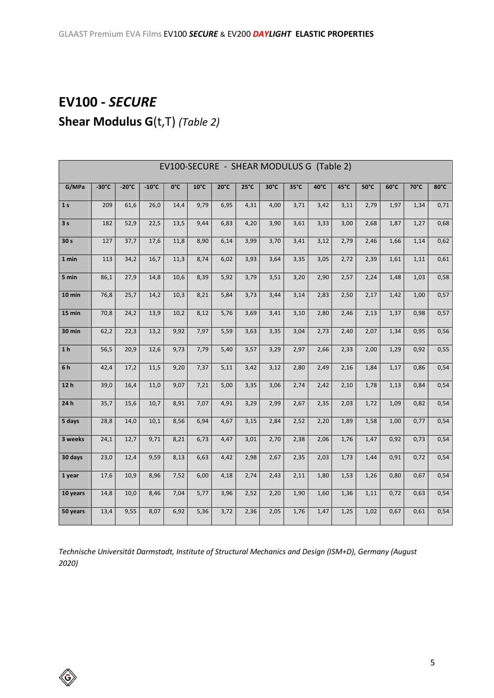## **EV100 -** *SECURE* **Shear Modulus G**(t,T) *(Table 2)*

| EV100-SECURE - SHEAR MODULUS G (Table 2) |                 |                 |                 |      |                |                |                |                |      |      |      |      |      |      |      |
|------------------------------------------|-----------------|-----------------|-----------------|------|----------------|----------------|----------------|----------------|------|------|------|------|------|------|------|
| G/MPa                                    | $-30^{\circ}$ C | $-20^{\circ}$ C | $-10^{\circ}$ C | 0°C  | $10^{\circ}$ C | $20^{\circ}$ C | $25^{\circ}$ C | $30^{\circ}$ C | 35°C | 40°C | 45°C | 50°C | 60°C | 70°C | 80°C |
| 1 <sub>s</sub>                           | 209             | 61,6            | 26,0            | 14,4 | 9,79           | 6,95           | 4,31           | 4,00           | 3,71 | 3,42 | 3,11 | 2,79 | 1,97 | 1,34 | 0,71 |
| 3 <sub>s</sub>                           | 182             | 52,9            | 22,5            | 13,5 | 9,44           | 6,83           | 4,20           | 3,90           | 3,61 | 3,33 | 3,00 | 2,68 | 1,87 | 1,27 | 0,68 |
| 30 s                                     | 127             | 37,7            | 17,6            | 11,8 | 8,90           | 6,14           | 3,99           | 3,70           | 3,41 | 3,12 | 2,79 | 2,46 | 1,66 | 1,14 | 0,62 |
| 1 min                                    | 113             | 34,2            | 16,7            | 11,3 | 8,74           | 6,02           | 3,93           | 3,64           | 3,35 | 3,05 | 2,72 | 2,39 | 1,61 | 1,11 | 0,61 |
| 5 min                                    | 86,1            | 27,9            | 14,8            | 10,6 | 8,39           | 5,92           | 3,79           | 3,51           | 3,20 | 2,90 | 2,57 | 2,24 | 1,48 | 1,03 | 0,58 |
| $10$ min                                 | 76,8            | 25,7            | 14,2            | 10,3 | 8,21           | 5,84           | 3,73           | 3,44           | 3,14 | 2,83 | 2,50 | 2,17 | 1,42 | 1,00 | 0,57 |
| 15 min                                   | 70,8            | 24,2            | 13,9            | 10,2 | 8,12           | 5,76           | 3,69           | 3,41           | 3,10 | 2,80 | 2,46 | 2,13 | 1,37 | 0,98 | 0,57 |
| 30 min                                   | 62,2            | 22,3            | 13,2            | 9,92 | 7,97           | 5,59           | 3,63           | 3,35           | 3,04 | 2,73 | 2,40 | 2,07 | 1,34 | 0,95 | 0,56 |
| 1 <sub>h</sub>                           | 56,5            | 20,9            | 12,6            | 9,73 | 7,79           | 5,40           | 3,57           | 3,29           | 2,97 | 2,66 | 2,33 | 2,00 | 1,29 | 0,92 | 0,55 |
| 6h                                       | 42,4            | 17,2            | 11,5            | 9,20 | 7,37           | 5,11           | 3,42           | 3,12           | 2,80 | 2,49 | 2,16 | 1,84 | 1,17 | 0,86 | 0,54 |
| 12 <sub>h</sub>                          | 39,0            | 16,4            | 11,0            | 9,07 | 7,21           | 5,00           | 3,35           | 3,06           | 2,74 | 2,42 | 2,10 | 1,78 | 1,13 | 0,84 | 0,54 |
| 24h                                      | 35,7            | 15,6            | 10,7            | 8,91 | 7,07           | 4,91           | 3,29           | 2,99           | 2,67 | 2,35 | 2,03 | 1,72 | 1,09 | 0,82 | 0,54 |
| 5 days                                   | 28,8            | 14,0            | 10,1            | 8,56 | 6,94           | 4,67           | 3,15           | 2,84           | 2,52 | 2,20 | 1,89 | 1,58 | 1,00 | 0,77 | 0,54 |
| 3 weeks                                  | 24,1            | 12,7            | 9,71            | 8,21 | 6,73           | 4,47           | 3,01           | 2,70           | 2,38 | 2,06 | 1,76 | 1,47 | 0,92 | 0,73 | 0,54 |
| 30 days                                  | 23,0            | 12,4            | 9,59            | 8,13 | 6,63           | 4,42           | 2,98           | 2,67           | 2,35 | 2,03 | 1,73 | 1,44 | 0,91 | 0,72 | 0,54 |
| 1 year                                   | 17,6            | 10,9            | 8,96            | 7,52 | 6,00           | 4,18           | 2,74           | 2,43           | 2,11 | 1,80 | 1,53 | 1,26 | 0,80 | 0,67 | 0,54 |
| 10 years                                 | 14,8            | 10,0            | 8,46            | 7,04 | 5,77           | 3,96           | 2,52           | 2,20           | 1,90 | 1,60 | 1,36 | 1,11 | 0,72 | 0,63 | 0,54 |
| 50 years                                 | 13,4            | 9,55            | 8,07            | 6,92 | 5,36           | 3,72           | 2,36           | 2,05           | 1,76 | 1,47 | 1,25 | 1,02 | 0,67 | 0,61 | 0,54 |

*Technische Universität Darmstadt, Institute of Structural Mechanics and Design (ISM+D), Germany (August 2020)*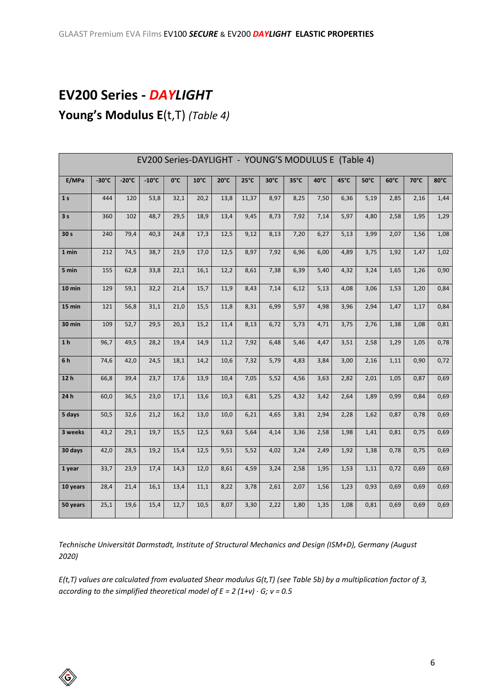## **EV200 Series -** *DAYLIGHT*

## **Young's Modulus E**(t,T) *(Table 4)*

| EV200 Series-DAYLIGHT - YOUNG'S MODULUS E (Table 4) |                 |                 |                 |               |                |                |               |      |                |      |      |                |      |      |                |
|-----------------------------------------------------|-----------------|-----------------|-----------------|---------------|----------------|----------------|---------------|------|----------------|------|------|----------------|------|------|----------------|
| E/MPa                                               | $-30^{\circ}$ C | $-20^{\circ}$ C | $-10^{\circ}$ C | $0^{\circ}$ C | $10^{\circ}$ C | $20^{\circ}$ C | $25^{\circ}C$ | 30°C | $35^{\circ}$ C | 40°C | 45°C | $50^{\circ}$ C | 60°C | 70°C | $80^{\circ}$ C |
| 1 <sub>s</sub>                                      | 444             | 120             | 53,8            | 32,1          | 20,2           | 13,8           | 11,37         | 8,97 | 8,25           | 7,50 | 6,36 | 5,19           | 2,85 | 2,16 | 1,44           |
| 3s                                                  | 360             | 102             | 48,7            | 29,5          | 18,9           | 13,4           | 9,45          | 8,73 | 7,92           | 7,14 | 5,97 | 4,80           | 2,58 | 1,95 | 1,29           |
| 30 <sub>s</sub>                                     | 240             | 79,4            | 40,3            | 24,8          | 17,3           | 12,5           | 9,12          | 8,13 | 7,20           | 6,27 | 5,13 | 3,99           | 2,07 | 1,56 | 1,08           |
| 1 min                                               | 212             | 74,5            | 38,7            | 23,9          | 17,0           | 12,5           | 8,97          | 7,92 | 6,96           | 6,00 | 4,89 | 3,75           | 1,92 | 1,47 | 1,02           |
| 5 min                                               | 155             | 62,8            | 33,8            | 22,1          | 16,1           | 12,2           | 8,61          | 7,38 | 6,39           | 5,40 | 4,32 | 3,24           | 1,65 | 1,26 | 0,90           |
| $10 \text{ min}$                                    | 129             | 59,1            | 32,2            | 21,4          | 15,7           | 11,9           | 8,43          | 7,14 | 6,12           | 5,13 | 4,08 | 3,06           | 1,53 | 1,20 | 0,84           |
| $15 \text{ min}$                                    | 121             | 56,8            | 31,1            | 21,0          | 15,5           | 11,8           | 8,31          | 6,99 | 5,97           | 4,98 | 3,96 | 2,94           | 1,47 | 1,17 | 0,84           |
| 30 min                                              | 109             | 52,7            | 29,5            | 20,3          | 15,2           | 11,4           | 8,13          | 6,72 | 5,73           | 4,71 | 3,75 | 2,76           | 1,38 | 1,08 | 0,81           |
| 1 <sub>h</sub>                                      | 96,7            | 49,5            | 28,2            | 19,4          | 14,9           | 11,2           | 7,92          | 6,48 | 5,46           | 4,47 | 3,51 | 2,58           | 1,29 | 1,05 | 0,78           |
| 6h                                                  | 74,6            | 42,0            | 24,5            | 18,1          | 14,2           | 10,6           | 7,32          | 5,79 | 4,83           | 3,84 | 3,00 | 2,16           | 1,11 | 0,90 | 0,72           |
| 12h                                                 | 66,8            | 39,4            | 23,7            | 17,6          | 13,9           | 10,4           | 7,05          | 5,52 | 4,56           | 3,63 | 2,82 | 2,01           | 1,05 | 0,87 | 0,69           |
| 24h                                                 | 60,0            | 36,5            | 23,0            | 17,1          | 13,6           | 10,3           | 6,81          | 5,25 | 4,32           | 3,42 | 2,64 | 1,89           | 0,99 | 0,84 | 0,69           |
| 5 days                                              | 50,5            | 32,6            | 21,2            | 16,2          | 13,0           | 10,0           | 6,21          | 4,65 | 3,81           | 2,94 | 2,28 | 1,62           | 0,87 | 0,78 | 0,69           |
| 3 weeks                                             | 43,2            | 29,1            | 19,7            | 15,5          | 12,5           | 9,63           | 5,64          | 4,14 | 3,36           | 2,58 | 1,98 | 1,41           | 0,81 | 0,75 | 0,69           |
| 30 days                                             | 42,0            | 28,5            | 19,2            | 15,4          | 12,5           | 9,51           | 5,52          | 4,02 | 3,24           | 2,49 | 1,92 | 1,38           | 0,78 | 0,75 | 0,69           |
| 1 year                                              | 33,7            | 23,9            | 17,4            | 14,3          | 12,0           | 8,61           | 4,59          | 3,24 | 2,58           | 1,95 | 1,53 | 1,11           | 0,72 | 0,69 | 0,69           |
| 10 years                                            | 28,4            | 21,4            | 16,1            | 13,4          | 11,1           | 8,22           | 3,78          | 2,61 | 2,07           | 1,56 | 1,23 | 0,93           | 0,69 | 0,69 | 0,69           |
| 50 years                                            | 25,1            | 19,6            | 15,4            | 12,7          | 10,5           | 8,07           | 3,30          | 2,22 | 1,80           | 1,35 | 1,08 | 0,81           | 0,69 | 0,69 | 0,69           |

*Technische Universität Darmstadt, Institute of Structural Mechanics and Design (ISM+D), Germany (August 2020)*

*E(t,T) values are calculated from evaluated Shear modulus G(t,T) (see Table 5b) by a multiplication factor of 3, according to the simplified theoretical model of E = 2 (1+ν) ∙ G; ν = 0.5*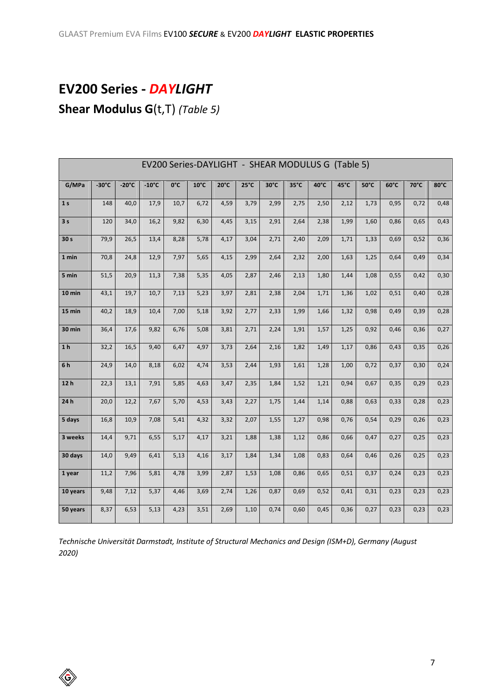## **EV200 Series -** *DAYLIGHT* **Shear Modulus G**(t,T) *(Table 5)*

EV200 Series-DAYLIGHT - SHEAR MODULUS G (Table 5) **G/MPa -30°C -20°C -10°C 0°C 10°C 20°C 25°C 30°C 35°C 40°C 45°C 50°C 60°C 70°C 80°C 1 s** 148 40,0 17,9 10,7 6,72 4,59 3,79 2,99 2,75 2,50 2,12 1,73 0,95 0,72 0,48 **3 s** 120 34,0 16,2 9,82 6,30 4,45 3,15 2,91 2,64 2,38 1,99 1,60 0,86 0,65 0,43 **30 s** 79,9 26,5 13,4 8,28 5,78 4,17 3,04 2,71 2,40 2,09 1,71 1,33 0,69 0,52 0,36 **1 min** 70,8 24,8 12,9 7,97 5,65 4,15 2,99 2,64 2,32 2,00 1,63 1,25 0,64 0,49 0,34 **5 min** 51,5 20,9 11,3 7,38 5,35 4,05 2,87 2,46 2,13 1,80 1,44 1,08 0,55 0,42 0,30 **10 min** 43,1 19,7 10,7 7,13 5,23 3,97 2,81 2,38 2,04 1,71 1,36 1,02 0,51 0,40 0,28 **15 min** 40,2 18,9 10,4 7,00 5,18 3,92 2,77 2,33 1,99 1,66 1,32 0,98 0,49 0,39 0,28 **30 min** 36,4 17,6 9,82 6,76 5,08 3,81 2,71 2,24 1,91 1,57 1,25 0,92 0,46 0,36 0,27 **1 h** 32,2 16,5 9,40 6,47 4,97 3,73 2,64 2,16 1,82 1,49 1,17 0,86 0,43 0,35 0,26 **6 h** 24,9 14,0 8,18 6,02 4,74 3,53 2,44 1,93 1,61 1,28 1,00 0,72 0,37 0,30 0,24 **12 h** 22,3 13,1 7,91 5,85 4,63 3,47 2,35 1,84 1,52 1,21 0,94 0,67 0,35 0,29 0,23 **24 h** 20,0 12,2 7,67 5,70 4,53 3,43 2,27 1,75 1,44 1,14 0,88 0,63 0,33 0,28 0,23 **5 days** 16,8 10,9 7,08 5,41 4,32 3,32 2,07 1,55 1,27 0,98 0,76 0,54 0,29 0,26 0,23 **3 weeks** 14,4 9,71 6,55 5,17 4,17 3,21 1,88 1,38 1,12 0,86 0,66 0,47 0,27 0,25 0,23 **30 days** 14,0 9,49 6,41 5,13 4,16 3,17 1,84 1,34 1,08 0,83 0,64 0,46 0,26 0,25 0,23 **1 year** 11,2 7,96 5,81 4,78 3,99 2,87 1,53 1,08 0,86 0,65 0,51 0,37 0,24 0,23 0,23 **10 years** 9,48 7,12 5,37 4,46 3,69 2,74 1,26 0,87 0,69 0,52 0,41 0,31 0,23 0,23 0,23 **50 years** 8,37 6,53 5,13 4,23 3,51 2,69 1,10 0,74 0,60 0,45 0,36 0,27 0,23 0,23 0,23

*Technische Universität Darmstadt, Institute of Structural Mechanics and Design (ISM+D), Germany (August 2020)*